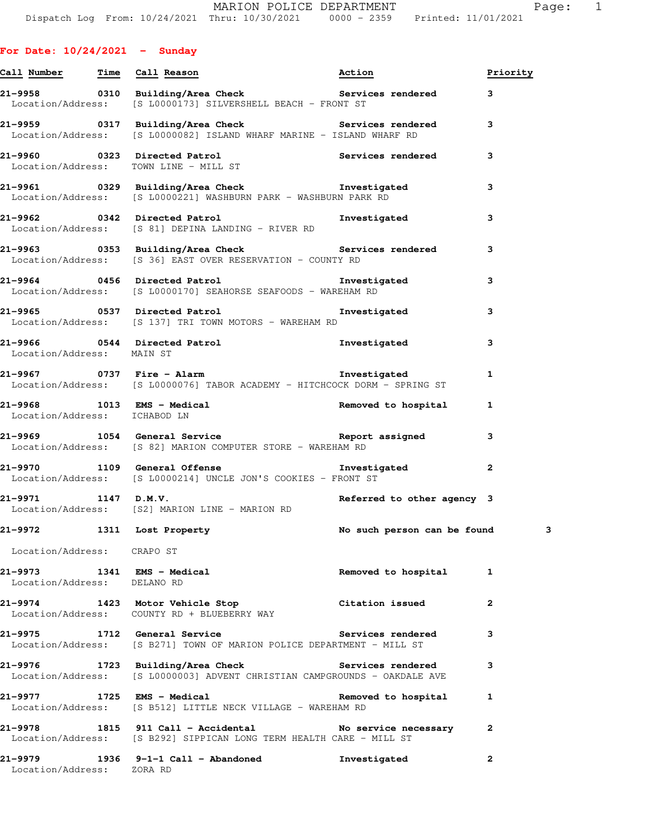|                                      | Call Number Time Call Reason                                                                                                              | Action                     | Priority     |
|--------------------------------------|-------------------------------------------------------------------------------------------------------------------------------------------|----------------------------|--------------|
|                                      | 21-9958       0310  Building/Area Check          Services rendered      3<br>Location/Address: [S L0000173] SILVERSHELL BEACH - FRONT ST  |                            |              |
|                                      | 21-9959 		 0317 Building/Area Check 		 Services rendered<br>Location/Address: [S L0000082] ISLAND WHARF MARINE - ISLAND WHARF RD          |                            | $\mathbf{3}$ |
|                                      | 21-9960 0323 Directed Patrol (21-9960 Services rendered 3<br>Location/Address: TOWN LINE - MILL ST                                        |                            |              |
|                                      | 21-9961 0329 Building/Area Check <b>The Investigated</b><br>Location/Address: [S L0000221] WASHBURN PARK - WASHBURN PARK RD               |                            | 3            |
|                                      | 21-9962 0342 Directed Patrol Number 21-9962<br>Location/Address: [S 81] DEPINA LANDING - RIVER RD                                         |                            | 3            |
|                                      | 21-9963 		 0353 Building/Area Check 		 Services rendered<br>Location/Address: [S 36] EAST OVER RESERVATION - COUNTY RD                    |                            | 3            |
|                                      | 21-9964 0456 Directed Patrol <b>120 External 12 September 21-9964</b><br>Location/Address: [S L0000170] SEAHORSE SEAFOODS - WAREHAM RD    |                            | 3            |
|                                      | 21-9965 0537 Directed Patrol <b>120 Contract 120 Contract</b> 1 Contract 1 Mate<br>Location/Address: [S 137] TRI TOWN MOTORS - WAREHAM RD |                            | 3            |
| Location/Address: MAIN ST            | 21-9966 0544 Directed Patrol <b>1</b> nvestigated                                                                                         |                            | 3            |
|                                      | Location/Address: [S L0000076] TABOR ACADEMY - HITCHCOCK DORM - SPRING ST                                                                 |                            | 1            |
| Location/Address: ICHABOD LN         | 21-9968 1013 EMS - Medical 1999 and 1013 EMS - Medical 1999 and 1013 EMS - Medical                                                        |                            | 1            |
|                                      | 21-9969 1054 General Service Neport assigned<br>Location/Address: [S 82] MARION COMPUTER STORE - WAREHAM RD                               |                            | 3            |
|                                      | 21-9970 1109 General Offense <b>120 Exercía de La Constanta</b><br>Location/Address: [S L0000214] UNCLE JON'S COOKIES - FRONT ST          |                            | $\mathbf{2}$ |
| 21–9971 1147 D.M.V.                  | Location/Address: [S2] MARION LINE - MARION RD                                                                                            | Referred to other agency 3 |              |
|                                      | 21-9972 1311 Lost Property 1997 No such person can be found                                                                               |                            | з            |
| Location/Address: CRAPO ST           |                                                                                                                                           |                            |              |
| Location/Address: DELANO RD          | 21-9973 1341 EMS - Medical                                                                                                                | Removed to hospital        | 1            |
|                                      | 21-9974 1423 Motor Vehicle Stop Citation issued<br>Location/Address: COUNTY RD + BLUEBERRY WAY                                            |                            | $\mathbf{2}$ |
|                                      | 21-9975 1712 General Service<br>Location/Address: [S B271] TOWN OF MARION POLICE DEPARTMENT - MILL ST                                     | Services rendered          | 3            |
|                                      | 21-9976 1723 Building/Area Check Services rendered<br>Location/Address: [S L0000003] ADVENT CHRISTIAN CAMPGROUNDS - OAKDALE AVE           |                            | 3            |
|                                      | 21-9977 1725 EMS - Medical and the Removed to hospital<br>Location/Address: [S B512] LITTLE NECK VILLAGE - WAREHAM RD                     |                            | 1            |
|                                      | 21-9978 1815 911 Call - Accidental No service necessary<br>Location/Address: [S B292] SIPPICAN LONG TERM HEALTH CARE - MILL ST            |                            | $\mathbf{2}$ |
| 21–9979<br>Location/Address: ZORA RD | 1936 9-1-1 Call - Abandoned Investigated                                                                                                  |                            | $\mathbf{2}$ |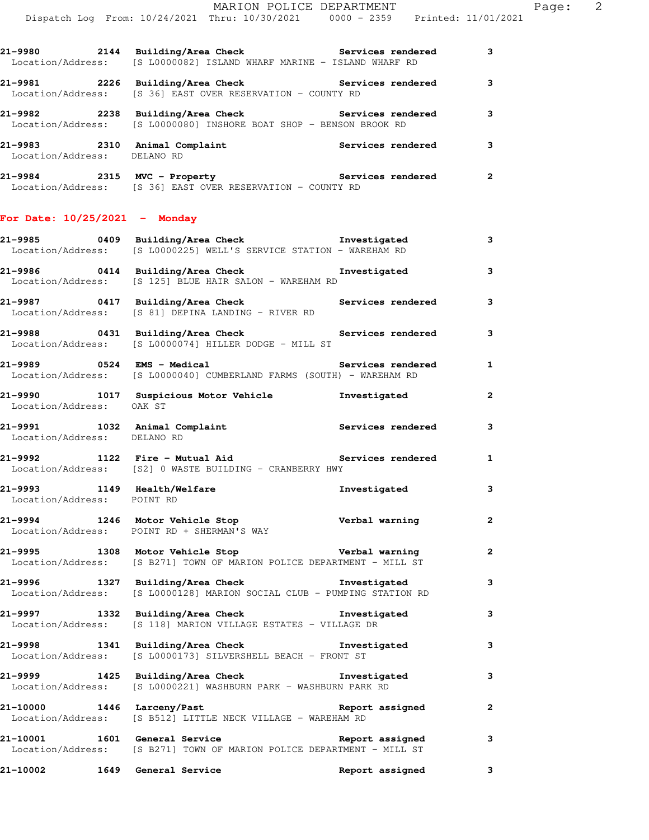| aч | ᆮ |  |  |
|----|---|--|--|
|    |   |  |  |

|                                 | 21-9980 2144 Building/Area Check Services rendered 3<br>Location/Address: [S L0000082] ISLAND WHARF MARINE - ISLAND WHARF RD        |                 |              |
|---------------------------------|-------------------------------------------------------------------------------------------------------------------------------------|-----------------|--------------|
|                                 | 21-9981 2226 Building/Area Check Services rendered<br>Location/Address: [S 36] EAST OVER RESERVATION - COUNTY RD                    |                 | 3            |
|                                 | 21-9982 2238 Building/Area Check Services rendered<br>Location/Address: [S L0000080] INSHORE BOAT SHOP - BENSON BROOK RD            |                 | 3            |
|                                 | 21-9983 2310 Animal Complaint Services rendered<br>Location/Address: DELANO RD                                                      |                 | 3            |
|                                 | 21-9984 2315 MVC - Property <b>120 Services</b> rendered<br>Location/Address: [S 36] EAST OVER RESERVATION - COUNTY RD              |                 | $\mathbf{2}$ |
| For Date: $10/25/2021$ - Monday |                                                                                                                                     |                 |              |
|                                 | 21-9985 0409 Building/Area Check <b>The Investigated</b><br>Location/Address: [S L0000225] WELL'S SERVICE STATION - WAREHAM RD      |                 | 3            |
|                                 | 21-9986 0414 Building/Area Check <b>The Investigated</b><br>Location/Address: [S 125] BLUE HAIR SALON - WAREHAM RD                  |                 | 3            |
|                                 | 21-9987      0417  Building/Area Check          Services rendered<br>Location/Address: [S 81] DEPINA LANDING - RIVER RD             |                 | 3            |
|                                 | 21-9988       0431  Building/Area Check          Services rendered<br>Location/Address: [S L0000074] HILLER DODGE - MILL ST         |                 | 3            |
|                                 | 21-9989 		 0524 EMS - Medical 		 Services rendered<br>Location/Address: [S L0000040] CUMBERLAND FARMS (SOUTH) - WAREHAM RD          |                 | $\mathbf{1}$ |
| Location/Address: OAK ST        | 21-9990 1017 Suspicious Motor Vehicle <b>1</b> nvestigated                                                                          |                 | $\mathbf{2}$ |
|                                 | 21-9991 1032 Animal Complaint Services rendered<br>Location/Address: DELANO RD                                                      |                 | 3            |
|                                 | 21-9992 1122 Fire - Mutual Aid <b>Services rendered</b><br>Location/Address: [S2] 0 WASTE BUILDING - CRANBERRY HWY                  |                 | $\mathbf{1}$ |
|                                 | 21-9993 1149 Health/Welfare <b>Investigated</b><br>Location/Address: POINTRD                                                        |                 | 3            |
|                                 | 21-9994 1246 Motor Vehicle Stop Verbal warning<br>Location/Address: POINT RD + SHERMAN'S WAY                                        |                 |              |
|                                 | 21-9995 1308 Motor Vehicle Stop <b>1988 Verbal warning</b><br>Location/Address: [S B271] TOWN OF MARION POLICE DEPARTMENT - MILL ST |                 | $\mathbf{2}$ |
|                                 | 21-9996 1327 Building/Area Check <b>The Investigated</b><br>Location/Address: [S L0000128] MARION SOCIAL CLUB - PUMPING STATION RD  |                 | 3            |
|                                 | 21-9997 1332 Building/Area Check Threstigated<br>Location/Address: [S 118] MARION VILLAGE ESTATES - VILLAGE DR                      |                 | 3            |
|                                 | 21-9998 1341 Building/Area Check the Investigated<br>Location/Address: [S L0000173] SILVERSHELL BEACH - FRONT ST                    |                 | 3            |
|                                 | 21-9999 1425 Building/Area Check <b>The Investigated</b><br>Location/Address: [S L0000221] WASHBURN PARK - WASHBURN PARK RD         |                 | 3            |
| 21-10000                        | 1446 Larceny/Past<br>Location/Address: [S B512] LITTLE NECK VILLAGE - WAREHAM RD                                                    | Report assigned | $\mathbf{2}$ |
|                                 | 21-10001 1601 General Service 20 Report assigned<br>Location/Address: [S B271] TOWN OF MARION POLICE DEPARTMENT - MILL ST           |                 | 3            |
| 21-10002 1649 General Service   |                                                                                                                                     | Report assigned | 3            |
|                                 |                                                                                                                                     |                 |              |
|                                 |                                                                                                                                     |                 |              |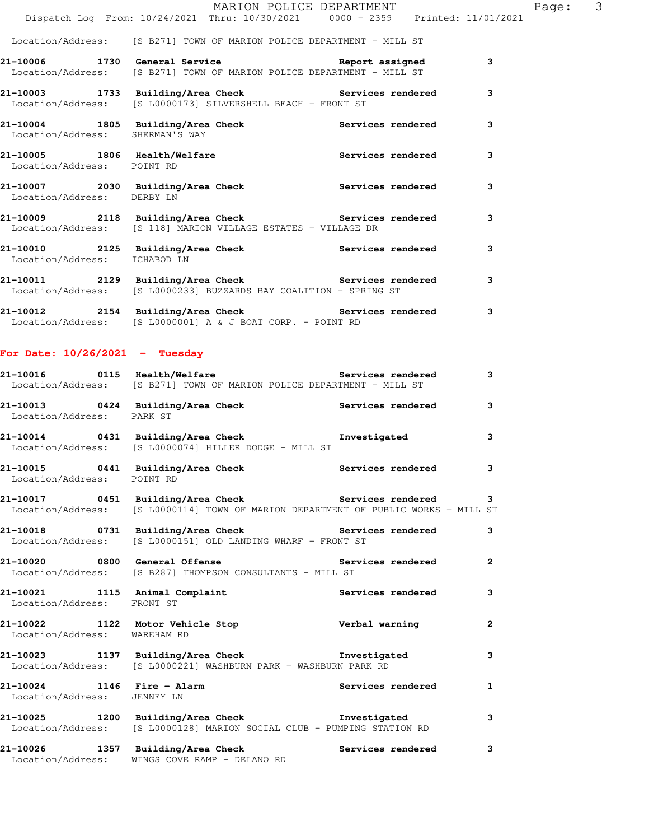|                                 | MARION POLICE DEPARTMENT                                                                                                        |                          |   | Page: | $\mathcal{S}$ |
|---------------------------------|---------------------------------------------------------------------------------------------------------------------------------|--------------------------|---|-------|---------------|
|                                 | Dispatch Log From: 10/24/2021 Thru: 10/30/2021 0000 - 2359 Printed: 11/01/2021                                                  |                          |   |       |               |
|                                 | Location/Address: [S B271] TOWN OF MARION POLICE DEPARTMENT - MILL ST                                                           |                          |   |       |               |
|                                 | 21-10006 1730 General Service Neport assigned<br>Location/Address: [S B271] TOWN OF MARION POLICE DEPARTMENT - MILL ST          |                          | 3 |       |               |
|                                 | 21-10003 1733 Building/Area Check Services rendered<br>Location/Address: [S L0000173] SILVERSHELL BEACH - FRONT ST              |                          | 3 |       |               |
| Location/Address: SHERMAN'S WAY | 21-10004 1805 Building/Area Check Services rendered                                                                             |                          | 3 |       |               |
| Location/Address: POINT RD      | 21-10005 1806 Health/Welfare                                                                                                    | <b>Services rendered</b> | 3 |       |               |
| Location/Address: DERBY LN      | 21-10007 2030 Building/Area Check Services rendered                                                                             |                          | 3 |       |               |
|                                 | 21-10009 2118 Building/Area Check Services rendered<br>Location/Address: [S 118] MARION VILLAGE ESTATES - VILLAGE DR            |                          | 3 |       |               |
| Location/Address: ICHABOD LN    | 21-10010 2125 Building/Area Check Services rendered                                                                             |                          | 3 |       |               |
|                                 | 21-10011 2129 Building/Area Check <b>Services</b> rendered<br>Location/Address: [S L0000233] BUZZARDS BAY COALITION - SPRING ST |                          | 3 |       |               |

**21-10012 2154 Building/Area Check Services rendered 3**  Location/Address: [S L0000001] A & J BOAT CORP. - POINT RD

## **For Date: 10/26/2021 - Tuesday**

|                              | 21-10016      0115  Health/Welfare             Services rendered<br>Location/Address: [S B271] TOWN OF MARION POLICE DEPARTMENT - MILL ST   | $\mathbf{3}$            |
|------------------------------|---------------------------------------------------------------------------------------------------------------------------------------------|-------------------------|
| Location/Address: PARK ST    | 21-10013 0424 Building/Area Check 6 Services rendered 3                                                                                     |                         |
|                              | 21-10014 0431 Building/Area Check <b>The Investigated</b><br>Location/Address: [S L0000074] HILLER DODGE - MILL ST                          | $\mathbf{3}$            |
| Location/Address: POINT RD   | 21-10015 0441 Building/Area Check Services rendered                                                                                         | $\overline{\mathbf{3}}$ |
|                              | 21-10017 0451 Building/Area Check Services rendered 3<br>Location/Address: [S L0000114] TOWN OF MARION DEPARTMENT OF PUBLIC WORKS - MILL ST |                         |
|                              | 21-10018 0731 Building/Area Check Services rendered<br>Location/Address: [S L0000151] OLD LANDING WHARF - FRONT ST                          | $\mathbf{3}$            |
|                              | 21-10020 0800 General Offense <b>1988</b> Services rendered 2<br>Location/Address: [S B287] THOMPSON CONSULTANTS - MILL ST                  |                         |
| Location/Address: FRONT ST   | 21-10021 1115 Animal Complaint the Services rendered                                                                                        | $\mathbf{3}$            |
| Location/Address: WAREHAM RD |                                                                                                                                             | $\overline{2}$          |
|                              | 21-10023 1137 Building/Area Check Threstigated<br>Location/Address: [S L0000221] WASHBURN PARK - WASHBURN PARK RD                           | 3                       |
| Location/Address: JENNEY LN  | 21-10024 1146 Fire - Alarm National Services rendered                                                                                       | $\mathbf{1}$            |
|                              | 21-10025 1200 Building/Area Check Threstigated<br>Location/Address: [S L0000128] MARION SOCIAL CLUB - PUMPING STATION RD                    | 3                       |
| Location/Address:            | 21-10026 1357 Building/Area Check Services rendered<br>WINGS COVE RAMP - DELANO RD                                                          | $\mathbf{3}$            |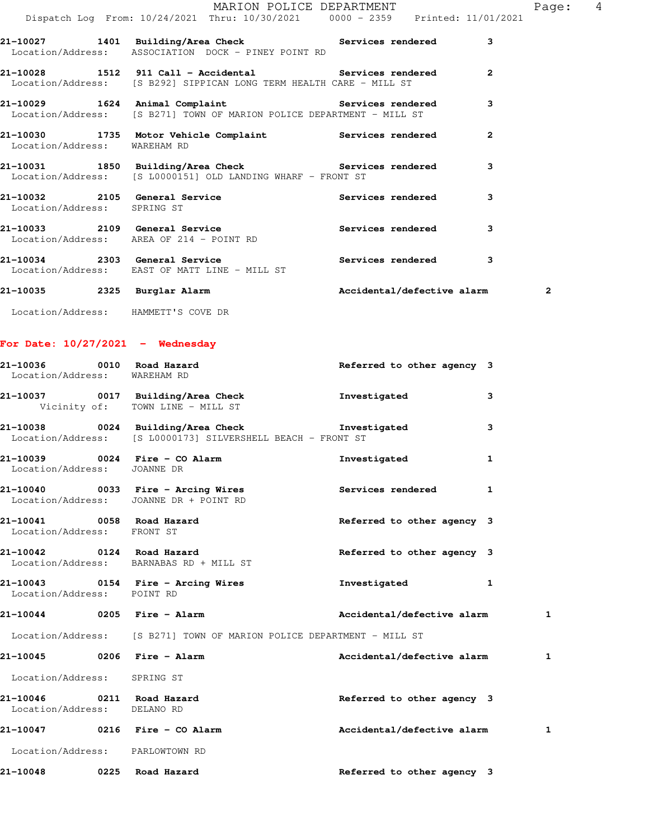|                              | Dispatch Log From: 10/24/2021 Thru: 10/30/2021 0000 - 2359 Printed: 11/01/2021                                               | MARION POLICE DEPARTMENT   |                | Page:                   | 4 |
|------------------------------|------------------------------------------------------------------------------------------------------------------------------|----------------------------|----------------|-------------------------|---|
|                              | 21-10027 1401 Building/Area Check Services rendered                                                                          |                            | 3              |                         |   |
|                              | Location/Address: ASSOCIATION DOCK - PINEY POINT RD                                                                          |                            |                |                         |   |
|                              | 21-10028 1512 911 Call - Accidental Services rendered<br>Location/Address: [S B292] SIPPICAN LONG TERM HEALTH CARE - MILL ST |                            | $\overline{2}$ |                         |   |
|                              | 21-10029 1624 Animal Complaint Services rendered<br>  Location/Address: [S B271] TOWN OF MARION POLICE DEPARTMENT - MILL ST  |                            | 3              |                         |   |
| Location/Address: WAREHAM RD | 21-10030 1735 Motor Vehicle Complaint Services rendered                                                                      |                            | $\overline{2}$ |                         |   |
|                              | 21-10031 1850 Building/Area Check Services rendered<br>Location/Address: [S L0000151] OLD LANDING WHARF - FRONT ST           |                            | 3              |                         |   |
| Location/Address: SPRING ST  | 21-10032 2105 General Service 2008 Services rendered                                                                         |                            | 3              |                         |   |
|                              | 21-10033 2109 General Service 20 Services rendered<br>Location/Address: AREA OF 214 - POINT RD                               |                            | 3              |                         |   |
|                              | 21-10034 2303 General Service 2008 Services rendered<br>  Location/Address: EAST OF MATT LINE - MILL ST                      |                            | 3              |                         |   |
| 21-10035 2325 Burglar Alarm  |                                                                                                                              | Accidental/defective alarm |                | $\overline{\mathbf{2}}$ |   |

Location/Address: HAMMETT'S COVE DR

**For Date: 10/27/2021 - Wednesday**

| 21-10036 0010 Road Hazard<br>Location/Address: WAREHAM RD |                                                                                                                          | Referred to other agency 3 |              |
|-----------------------------------------------------------|--------------------------------------------------------------------------------------------------------------------------|----------------------------|--------------|
|                                                           | 21-10037 0017 Building/Area Check the Investigated<br>Vicinity of: TOWN LINE - MILL ST                                   |                            | 3            |
|                                                           | 21-10038 0024 Building/Area Check <b>The Investigated</b><br>Location/Address: [S L0000173] SILVERSHELL BEACH - FRONT ST |                            | 3            |
| Location/Address: JOANNE DR                               | 21-10039 0024 Fire - CO Alarm                                                                                            | Investigated               | $\mathbf{1}$ |
|                                                           | 21-10040 0033 Fire - Arcing Wires Services rendered 1<br>Location/Address: JOANNE DR + POINT RD                          |                            |              |
| 21-10041 0058 Road Hazard<br>Location/Address: FRONT ST   |                                                                                                                          | Referred to other agency 3 |              |
|                                                           | 21-10042 0124 Road Hazard<br>Location/Address: BARNABAS RD + MILL ST                                                     | Referred to other agency 3 |              |
| Location/Address: POINT RD                                |                                                                                                                          | Investigated 1             |              |
|                                                           | 21-10044 0205 Fire - Alarm                                                                                               | Accidental/defective alarm | 1            |
|                                                           | Location/Address: [S B271] TOWN OF MARION POLICE DEPARTMENT - MILL ST                                                    |                            |              |
| 21-10045 0206 Fire - Alarm                                |                                                                                                                          | Accidental/defective alarm | 1            |
| Location/Address: SPRING ST                               |                                                                                                                          |                            |              |
| Location/Address: DELANO RD                               |                                                                                                                          | Referred to other agency 3 |              |
|                                                           | 21-10047 0216 Fire - CO Alarm                                                                                            | Accidental/defective alarm | 1            |
| Location/Address: PARLOWTOWN RD                           |                                                                                                                          |                            |              |
| 21-10048 0225 Road Hazard                                 |                                                                                                                          | Referred to other agency 3 |              |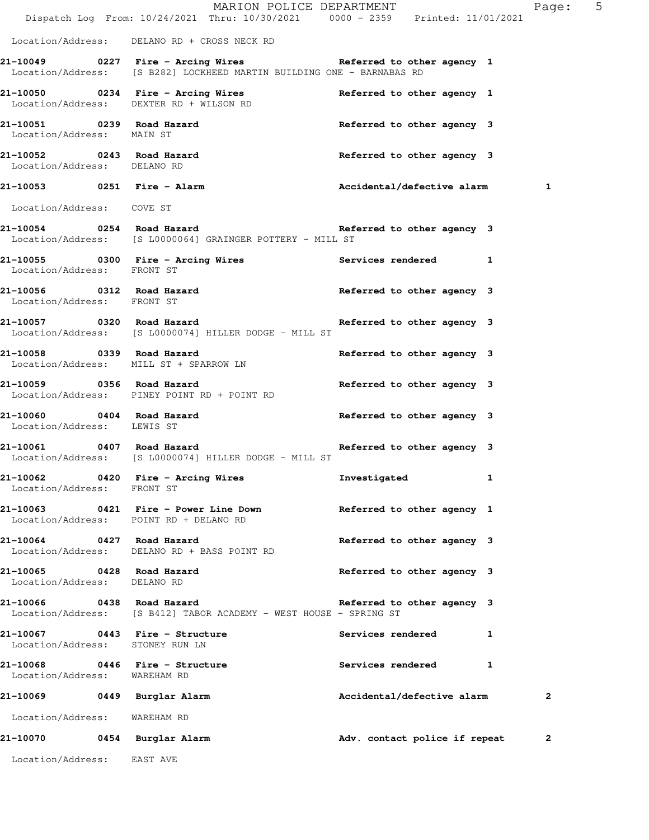|                                                          | MARION POLICE DEPARTMENT<br>Dispatch Log From: 10/24/2021 Thru: 10/30/2021 0000 - 2359 Printed: 11/01/2021                            |                                          | Page: 5      |
|----------------------------------------------------------|---------------------------------------------------------------------------------------------------------------------------------------|------------------------------------------|--------------|
|                                                          | Location/Address: DELANO RD + CROSS NECK RD                                                                                           |                                          |              |
|                                                          | 21-10049 0227 Fire - Arcing Wires Referred to other agency 1<br>Location/Address: [S B282] LOCKHEED MARTIN BUILDING ONE - BARNABAS RD |                                          |              |
|                                                          | 21-10050 0234 Fire - Arcing Wires Referred to other agency 1<br>Location/Address: DEXTER RD + WILSON RD                               |                                          |              |
| Location/Address: MAIN ST                                | 21-10051 0239 Road Hazard                                                                                                             | Referred to other agency 3               |              |
| Location/Address: DELANO RD                              | 21-10052 0243 Road Hazard                                                                                                             | Referred to other agency 3               |              |
|                                                          | 21-10053 0251 Fire - Alarm Maccidental/defective alarm 1                                                                              |                                          |              |
| Location/Address: COVE ST                                |                                                                                                                                       |                                          |              |
|                                                          | 21-10054 0254 Road Hazard 21-10054 21-10054<br>Location/Address: [S L0000064] GRAINGER POTTERY - MILL ST                              |                                          |              |
| Location/Address: FRONT ST                               | 21-10055 0300 Fire - Arcing Wires The Services rendered 1                                                                             |                                          |              |
| Location/Address: FRONT ST                               | 21-10056 0312 Road Hazard                                                                                                             | Referred to other agency 3               |              |
|                                                          | 21-10057 10320 Road Hazard 1988 and the Referred to other agency 3<br>Location/Address: [S L0000074] HILLER DODGE - MILL ST           |                                          |              |
|                                                          | 21-10058 0339 Road Hazard<br>Location/Address: MILL ST + SPARROW LN                                                                   | Referred to other agency 3               |              |
|                                                          | 21-10059 0356 Road Hazard<br>Location/Address: PINEY POINT RD + POINT RD                                                              | Referred to other agency 3               |              |
| Location/Address: LEWIS ST                               | 21-10060 0404 Road Hazard                                                                                                             | Referred to other agency 3               |              |
|                                                          | 21-10061 0407 Road Hazard Referred to other agency 3<br>Location/Address: [S L0000074] HILLER DODGE - MILL ST                         |                                          |              |
| Location/Address: FRONT ST                               | 21-10062 0420 Fire - Arcing Wires                                                                                                     | Investigated                             |              |
|                                                          | 21-10063 0421 Fire - Power Line Down Referred to other agency 1<br>Location/Address: POINT RD + DELANO RD                             |                                          |              |
| 21-10064 0427 Road Hazard                                | Location/Address: DELANO RD + BASS POINT RD                                                                                           | Referred to other agency 3               |              |
| 21-10065 0428 Road Hazard<br>Location/Address: DELANO RD |                                                                                                                                       | Referred to other agency 3               |              |
|                                                          | 21-10066 0438 Road Hazard<br>Location/Address: [S B412] TABOR ACADEMY - WEST HOUSE - SPRING ST                                        | Referred to other agency 3               |              |
| Location/Address: STONEY RUN LN                          | 21-10067 0443 Fire - Structure                                                                                                        | <b>Services rendered</b><br>$\mathbf{1}$ |              |
| Location/Address: WAREHAM RD                             | 21-10068 0446 Fire - Structure                                                                                                        | Services rendered 1                      |              |
| 21-10069 0449 Burglar Alarm                              |                                                                                                                                       | Accidental/defective alarm               | $\mathbf{2}$ |
| Location/Address: WAREHAM RD                             |                                                                                                                                       |                                          |              |
| 21-10070 0454 Burglar Alarm                              |                                                                                                                                       | Adv. contact police if repeat            | 2            |
| Location/Address: EAST AVE                               |                                                                                                                                       |                                          |              |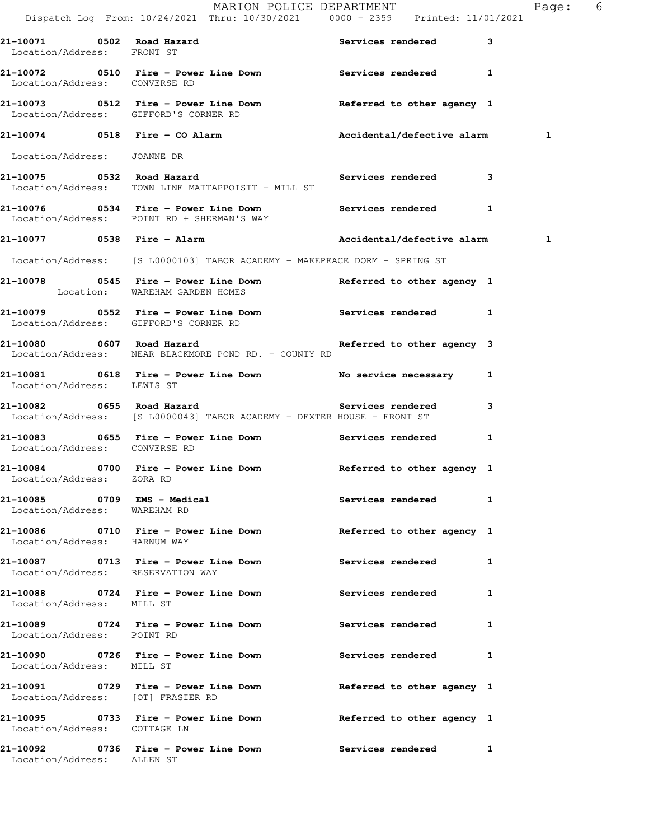|                                                             |                                | MARION POLICE DEPARTMENT<br>Dispatch Log From: 10/24/2021 Thru: 10/30/2021 0000 - 2359 Printed: 11/01/2021                          |   | Page: 6 |  |
|-------------------------------------------------------------|--------------------------------|-------------------------------------------------------------------------------------------------------------------------------------|---|---------|--|
| 21-10071 0502 Road Hazard<br>Location/Address: FRONT ST     |                                | Services rendered                                                                                                                   | 3 |         |  |
| Location/Address: CONVERSE RD                               |                                | 21-10072 0510 Fire - Power Line Down Services rendered 1                                                                            |   |         |  |
| Location/Address: GIFFORD'S CORNER RD                       |                                | 21-10073 0512 Fire - Power Line Down Referred to other agency 1                                                                     |   |         |  |
|                                                             |                                | 21-10074 0518 Fire - CO Alarm Accidental/defective alarm 1                                                                          |   |         |  |
| Location/Address: JOANNE DR                                 |                                |                                                                                                                                     |   |         |  |
| Location/Address: TOWN LINE MATTAPPOISTT - MILL ST          |                                | 21-10075 0532 Road Hazard <b>1988 Services</b> rendered 3                                                                           |   |         |  |
| Location/Address: POINT RD + SHERMAN'S WAY                  |                                |                                                                                                                                     |   |         |  |
| 21-10077 0538 Fire - Alarm                                  |                                | Accidental/defective alarm 1                                                                                                        |   |         |  |
|                                                             |                                | Location/Address: [S L0000103] TABOR ACADEMY - MAKEPEACE DORM - SPRING ST                                                           |   |         |  |
|                                                             | Location: WAREHAM GARDEN HOMES | 21-10078 0545 Fire - Power Line Down Neferred to other agency 1                                                                     |   |         |  |
| Location/Address: GIFFORD'S CORNER RD                       |                                | 21-10079 0552 Fire - Power Line Down Services rendered 1                                                                            |   |         |  |
| Location/Address: NEAR BLACKMORE POND RD. - COUNTY RD       |                                | 21-10080 0607 Road Hazard 1988 and the Referred to other agency 3                                                                   |   |         |  |
| Location/Address: LEWIS ST                                  |                                | 21-10081 0618 Fire - Power Line Down No service necessary 1                                                                         |   |         |  |
|                                                             |                                | 21-10082 0655 Road Hazard <b>1986 Services</b> rendered 3<br>Location/Address: [S L0000043] TABOR ACADEMY - DEXTER HOUSE - FRONT ST |   |         |  |
| Location/Address: CONVERSE RD                               |                                | 21-10083 0655 Fire - Power Line Down Services rendered 1                                                                            |   |         |  |
| Location/Address: ZORA RD                                   |                                | 21-10084 0700 Fire - Power Line Down Referred to other agency 1                                                                     |   |         |  |
| 21-10085 0709 EMS - Medical<br>Location/Address: WAREHAM RD |                                | Services rendered 1                                                                                                                 |   |         |  |
| Location/Address: HARNUM WAY                                |                                | 21-10086 0710 Fire - Power Line Down Beferred to other agency 1                                                                     |   |         |  |
| Location/Address: RESERVATION WAY                           |                                | 21-10087 0713 Fire - Power Line Down Services rendered 1                                                                            |   |         |  |
| Location/Address: MILL ST                                   |                                | 21-10088 		 0724 Fire - Power Line Down 		 Services rendered 1                                                                      |   |         |  |
| Location/Address: POINT RD                                  |                                | 21-10089 0724 Fire - Power Line Down Services rendered 1                                                                            |   |         |  |
| Location/Address: MILL ST                                   |                                | 21-10090 0726 Fire - Power Line Down Services rendered 1                                                                            |   |         |  |
| Location/Address: [OT] FRASIER RD                           |                                | 21-10091 0729 Fire - Power Line Down Referred to other agency 1                                                                     |   |         |  |
| Location/Address: COTTAGE LN                                |                                | 21-10095 0733 Fire - Power Line Down Beferred to other agency 1                                                                     |   |         |  |
| Location/Address: ALLEN ST                                  |                                | 21-10092 		 0736 Fire - Power Line Down 		 Services rendered 1                                                                      |   |         |  |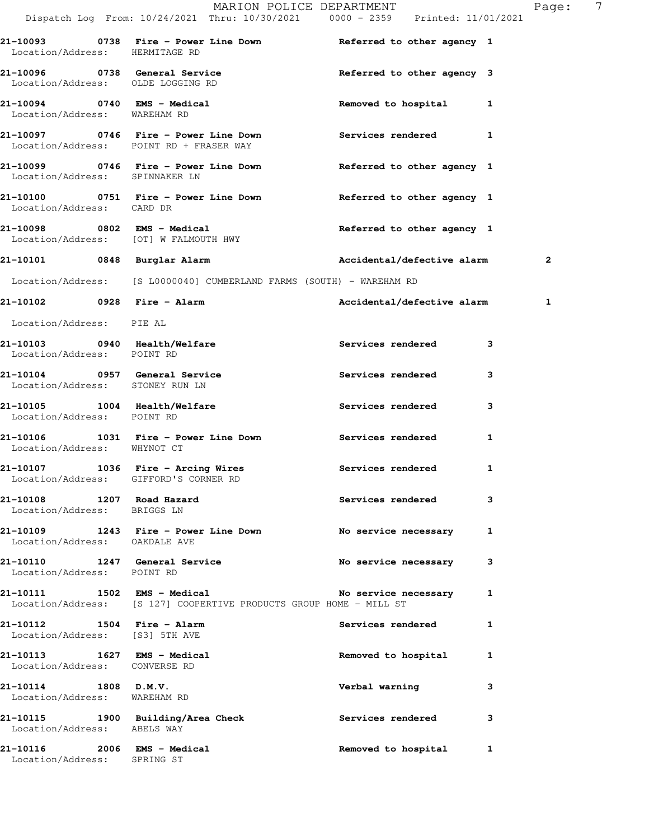|                                                                  | Dispatch Log From: 10/24/2021 Thru: 10/30/2021 0000 - 2359 Printed: 11/01/2021                    | MARION POLICE DEPARTMENT   | Page: 7      |
|------------------------------------------------------------------|---------------------------------------------------------------------------------------------------|----------------------------|--------------|
| Location/Address: HERMITAGE RD                                   | 21-10093 0738 Fire - Power Line Down Referred to other agency 1                                   |                            |              |
| Location/Address: OLDE LOGGING RD                                | 21-10096 0738 General Service                                                                     | Referred to other agency 3 |              |
| 21-10094 0740 EMS - Medical<br>Location/Address: WAREHAM RD      |                                                                                                   | Removed to hospital 1      |              |
|                                                                  | 21-10097 0746 Fire - Power Line Down<br>Location/Address: POINT RD + FRASER WAY                   | Services rendered 1        |              |
| Location/Address: SPINNAKER LN                                   | 21-10099 0746 Fire - Power Line Down Neferred to other agency 1                                   |                            |              |
| Location/Address: CARD DR                                        | 21-10100 0751 Fire - Power Line Down Beferred to other agency 1                                   |                            |              |
|                                                                  | 21-10098 0802 EMS - Medical<br>Location/Address: [OT] W FALMOUTH HWY                              | Referred to other agency 1 |              |
|                                                                  | 21-10101 0848 Burglar Alarm                                                                       | Accidental/defective alarm | 2            |
|                                                                  | Location/Address: [S L0000040] CUMBERLAND FARMS (SOUTH) - WAREHAM RD                              |                            |              |
|                                                                  | 21-10102 0928 Fire - Alarm                                                                        | Accidental/defective alarm | $\mathbf{1}$ |
| Location/Address: PIE AL                                         |                                                                                                   |                            |              |
| 21-10103 0940 Health/Welfare<br>Location/Address: POINT RD       |                                                                                                   | <b>Services rendered</b>   | 3            |
| 21-10104 0957 General Service<br>Location/Address: STONEY RUN LN |                                                                                                   | Services rendered          | 3            |
| 21-10105 1004 Health/Welfare<br>Location/Address: POINT RD       |                                                                                                   | Services rendered          | 3            |
| Location/Address: WHYNOT CT                                      | 21-10106 1031 Fire - Power Line Down Services rendered                                            |                            | $\mathbf{1}$ |
| Location/Address: GIFFORD'S CORNER RD                            | 21-10107 1036 Fire - Arcing Wires Services rendered 1                                             |                            |              |
| 21-10108 1207 Road Hazard<br>Location/Address: BRIGGS LN         |                                                                                                   | Services rendered          | 3            |
| Location/Address: OAKDALE AVE                                    | 21-10109 1243 Fire - Power Line Down                                                              | No service necessary       | 1            |
| Location/Address: POINT RD                                       | 21-10110 1247 General Service No service necessary                                                |                            | 3            |
|                                                                  | 1502 EMS - Medical Mo service ne Mo Service ne Mo Service ne Mo Service ne Mo Service ne Month ST | No service necessary       | 1            |
| 21-10112 1504 Fire - Alarm<br>Location/Address: [S3] 5TH AVE     |                                                                                                   | <b>Services rendered</b>   | 1            |
| 21-10113 1627 EMS - Medical<br>Location/Address: CONVERSE RD     |                                                                                                   | Removed to hospital        | $\mathbf{1}$ |
| $21-10114$ 1808 D.M.V.<br>Location/Address: WAREHAM RD           |                                                                                                   | Verbal warning             | 3            |
| Location/Address: ABELS WAY                                      | 21-10115 1900 Building/Area Check                                                                 | Services rendered          | 3            |
| 21-10116 2006 EMS - Medical<br>Location/Address: SPRING ST       |                                                                                                   | Removed to hospital        | 1            |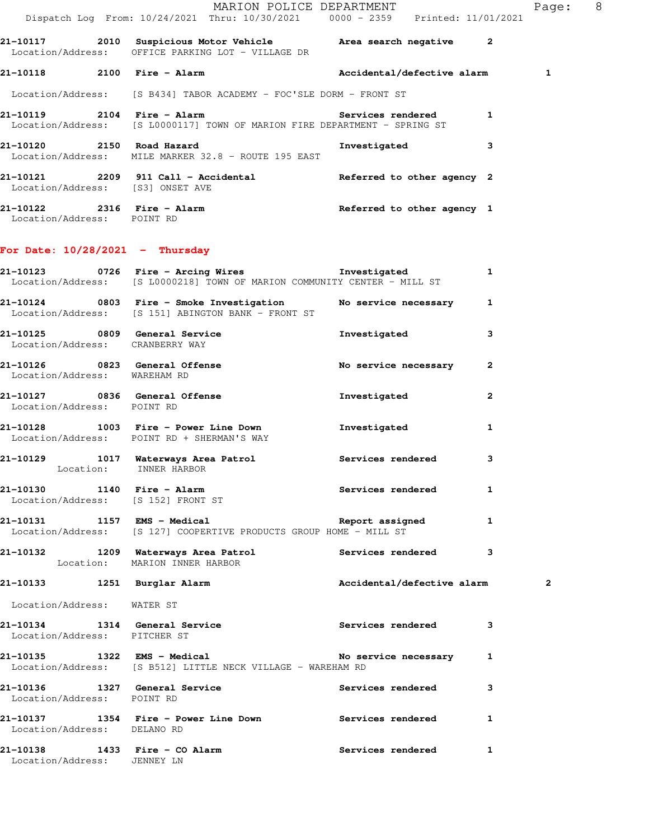|                                                   | MARION POLICE DEPARTMENT                                                  |                                                                                | Page: | 8 |
|---------------------------------------------------|---------------------------------------------------------------------------|--------------------------------------------------------------------------------|-------|---|
|                                                   |                                                                           | Dispatch Log From: 10/24/2021 Thru: 10/30/2021 0000 - 2359 Printed: 11/01/2021 |       |   |
|                                                   | Location/Address: OFFICE PARKING LOT - VILLAGE DR                         | $\overline{\mathbf{2}}$                                                        |       |   |
|                                                   |                                                                           | Accidental/defective alarm                                                     |       |   |
|                                                   | Location/Address: [S B434] TABOR ACADEMY - FOC'SLE DORM - FRONT ST        |                                                                                |       |   |
|                                                   | Location/Address: [S L0000117] TOWN OF MARION FIRE DEPARTMENT - SPRING ST | 1<br>Services rendered                                                         |       |   |
| 21-10120 2150 Road Hazard                         | Location/Address: MILE MARKER 32.8 - ROUTE 195 EAST                       | 3<br>Investigated                                                              |       |   |
| Location/Address: [S3] ONSET AVE                  |                                                                           | Referred to other agency 2                                                     |       |   |
| 21-10122  2316  Fire - Alarm<br>Location/Address: | POINT RD                                                                  | Referred to other agency 1                                                     |       |   |

## **For Date: 10/28/2021 - Thursday**

|                                 | 21-10123  0726  Fire - Arcing Wires  Investigated<br>Location/Address: [S L0000218] TOWN OF MARION COMMUNITY CENTER - MILL ST |                            | $\mathbf{1}$ |                         |
|---------------------------------|-------------------------------------------------------------------------------------------------------------------------------|----------------------------|--------------|-------------------------|
|                                 | 21-10124 0803 Fire - Smoke Investigation No service necessary 1<br>Location/Address: [S 151] ABINGTON BANK - FRONT ST         |                            |              |                         |
| Location/Address: CRANBERRY WAY | 21-10125 0809 General Service the Investigated                                                                                |                            | 3            |                         |
| Location/Address: WAREHAM RD    | 21-10126 0823 General Offense No service necessary 2                                                                          |                            |              |                         |
| Location/Address: POINT RD      | 21-10127 0836 General Offense                                                                                                 | Investigated               | $\mathbf{2}$ |                         |
|                                 | 21-10128 1003 Fire - Power Line Down 1nvestigated<br>Location/Address: POINT RD + SHERMAN'S WAY                               |                            | $\mathbf{1}$ |                         |
| Location: INNER HARBOR          | 21-10129 1017 Waterways Area Patrol 1997 Services rendered                                                                    |                            | 3            |                         |
|                                 | 21-10130 1140 Fire - Alarm<br>Location/Address: [S 152] FRONT ST                                                              | Services rendered 1        |              |                         |
|                                 | 21-10131 1157 EMS - Medical 1 Report assigned 1<br>Location/Address: [S 127] COOPERTIVE PRODUCTS GROUP HOME - MILL ST         |                            |              |                         |
|                                 | 21-10132 1209 Waterways Area Patrol Services rendered 3<br>Location: MARION INNER HARBOR                                      |                            |              |                         |
|                                 | 21-10133 1251 Burglar Alarm                                                                                                   | Accidental/defective alarm |              | $\overline{\mathbf{2}}$ |
| Location/Address: WATER ST      |                                                                                                                               |                            |              |                         |
| Location/Address: PITCHER ST    | 21-10134 1314 General Service 21-10134 Services rendered 3                                                                    |                            |              |                         |
|                                 | Location/Address: [S B512] LITTLE NECK VILLAGE - WAREHAM RD                                                                   |                            |              |                         |
| Location/Address: POINT RD      | 21-10136 1327 General Service                                                                                                 | Services rendered          | 3            |                         |
| Location/Address: DELANO RD     | 21-10137 1354 Fire - Power Line Down Services rendered 1                                                                      |                            |              |                         |
| Location/Address: JENNEY LN     | 21-10138 1433 Fire - CO Alarm Services rendered                                                                               |                            | $\mathbf{1}$ |                         |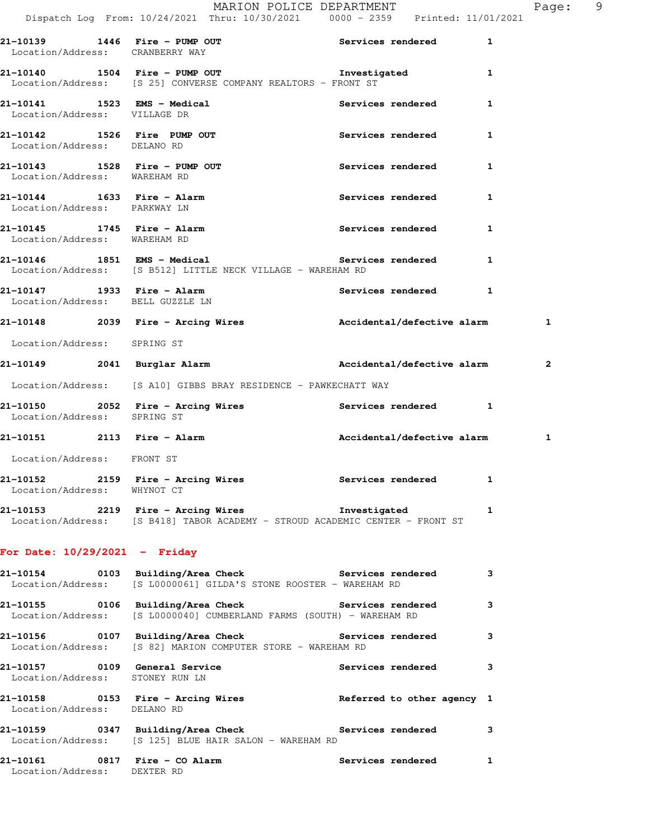|                                                                |  | MARION POLICE DEPARTMENT                                                                                            |                              |   | Page: 9        |  |
|----------------------------------------------------------------|--|---------------------------------------------------------------------------------------------------------------------|------------------------------|---|----------------|--|
|                                                                |  | Dispatch Log From: 10/24/2021 Thru: 10/30/2021 0000 - 2359 Printed: 11/01/2021                                      |                              |   |                |  |
| Location/Address: CRANBERRY WAY                                |  | 21-10139 1446 Fire - PUMP OUT the Services rendered to a metal of the Services of the Mathematical D                |                              |   |                |  |
|                                                                |  | 21-10140 1504 Fire - PUMP OUT 1nvestigated 1<br>Location/Address: [S 25] CONVERSE COMPANY REALTORS - FRONT ST       |                              |   |                |  |
| 21-10141 1523 EMS - Medical<br>Location/Address: VILLAGE DR    |  |                                                                                                                     | Services rendered 1          |   |                |  |
| 21-10142 1526 Fire PUMP OUT<br>Location/Address: DELANO RD     |  |                                                                                                                     | Services rendered 1          |   |                |  |
| 21-10143 1528 Fire - PUMP OUT<br>Location/Address: WAREHAM RD  |  |                                                                                                                     | Services rendered 1          |   |                |  |
| 21-10144 1633 Fire - Alarm<br>Location/Address: PARKWAY LN     |  |                                                                                                                     | Services rendered 1          |   |                |  |
| Location/Address: WAREHAM RD                                   |  |                                                                                                                     | Services rendered 1          |   |                |  |
|                                                                |  | 21-10146 1851 EMS - Medical 1 Services rendered 1<br>Location/Address: [S B512] LITTLE NECK VILLAGE - WAREHAM RD    |                              |   |                |  |
| 21-10147 1933 Fire - Alarm<br>Location/Address: BELL GUZZLE LN |  |                                                                                                                     | Services rendered 1          |   |                |  |
|                                                                |  | 21-10148 2039 Fire - Arcing Wires Mecidental/defective alarm 1                                                      |                              |   |                |  |
| Location/Address: SPRING ST                                    |  |                                                                                                                     |                              |   |                |  |
| 21-10149 2041 Burglar Alarm                                    |  |                                                                                                                     | Accidental/defective alarm   |   | $\overline{a}$ |  |
|                                                                |  | Location/Address: [S A10] GIBBS BRAY RESIDENCE - PAWKECHATT WAY                                                     |                              |   |                |  |
| Location/Address: SPRING ST                                    |  | 21-10150 2052 Fire - Arcing Wires Number 2005 2052 1                                                                |                              |   |                |  |
| 21-10151 2113 Fire - Alarm                                     |  |                                                                                                                     | Accidental/defective alarm 1 |   |                |  |
| Location/Address: FRONT ST                                     |  |                                                                                                                     |                              |   |                |  |
| Location/Address: WHYNOT CT                                    |  | 21-10152 2159 Fire - Arcing Wires Services rendered 1                                                               |                              |   |                |  |
|                                                                |  | $21-10153$ 2219 Fire - Arcing Wires<br>Location/Address: [S B418] TABOR ACADEMY - STROUD ACADEMIC CENTER - FRONT ST | Investigated                 | 1 |                |  |
|                                                                |  |                                                                                                                     |                              |   |                |  |

## **For Date: 10/29/2021 - Friday**

|                                 | 21-10154      0103  Building/Area Check          Services rendered<br>Location/Address: [S L0000061] GILDA'S STONE ROOSTER - WAREHAM RD |                            | 3            |
|---------------------------------|-----------------------------------------------------------------------------------------------------------------------------------------|----------------------------|--------------|
|                                 | 21-10155 0106 Building/Area Check 5ervices rendered<br>Location/Address: [S L0000040] CUMBERLAND FARMS (SOUTH) - WAREHAM RD             |                            | $\mathbf{3}$ |
|                                 | 21-10156      0107  Building/Area Check         Services rendered<br>Location/Address: [S 82] MARION COMPUTER STORE - WAREHAM RD        |                            | $\mathbf{3}$ |
| Location/Address: STONEY RUN LN |                                                                                                                                         | <b>Services rendered</b>   | $\mathbf{3}$ |
| Location/Address: DELANO RD     |                                                                                                                                         | Referred to other agency 1 |              |
|                                 | 21-10159      0347  Building/Area Check          Services rendered<br>Location/Address: [S 125] BLUE HAIR SALON - WAREHAM RD            |                            | 3            |
| Location/Address: DEXTER RD     |                                                                                                                                         | <b>Services rendered</b>   | $\mathbf{1}$ |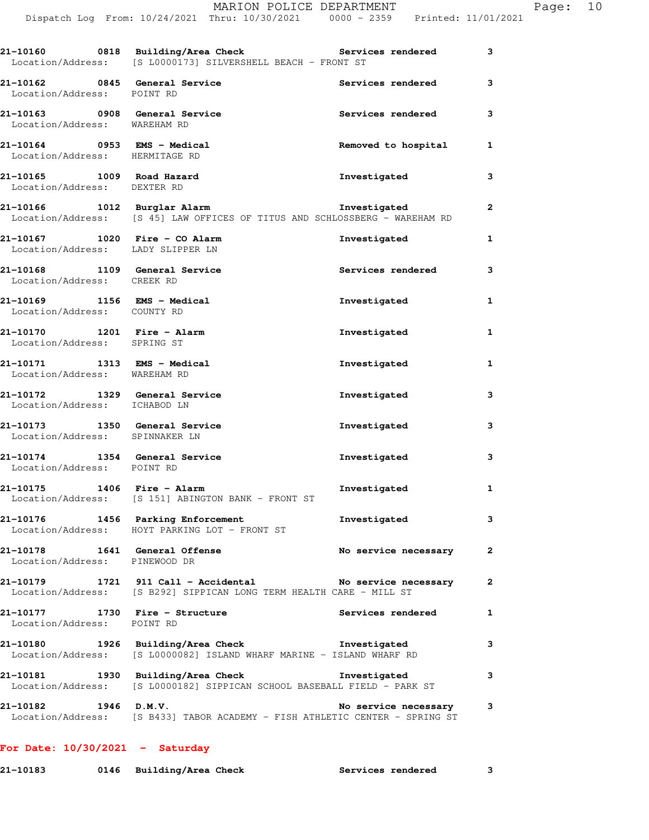|                                                                    | Dispatch Log From: 10/24/2021 Thru: 10/30/2021 0000 - 2359 Printed: 11/01/2021                                                  |                          |              |
|--------------------------------------------------------------------|---------------------------------------------------------------------------------------------------------------------------------|--------------------------|--------------|
|                                                                    | 21-10160 0818 Building/Area Check Services rendered<br>Location/Address: [S L0000173] SILVERSHELL BEACH - FRONT ST              |                          | 3            |
| 21-10162 0845 General Service<br>Location/Address: POINT RD        |                                                                                                                                 | Services rendered        | 3            |
| 21-10163 0908 General Service<br>Location/Address: WAREHAM RD      |                                                                                                                                 | Services rendered        | 3            |
| 21-10164 0953 EMS - Medical<br>Location/Address: HERMITAGE RD      |                                                                                                                                 | Removed to hospital      | 1            |
| 21-10165 1009 Road Hazard<br>Location/Address: DEXTER RD           |                                                                                                                                 | Investigated             | 3            |
|                                                                    | 21-10166 1012 Burglar Alarm New Investigated<br>Location/Address: [S 45] LAW OFFICES OF TITUS AND SCHLOSSBERG - WAREHAM RD      |                          | $\mathbf{2}$ |
| 21-10167 1020 Fire - CO Alarm<br>Location/Address: LADY SLIPPER LN |                                                                                                                                 | Investigated             | 1            |
| 21-10168 1109 General Service<br>Location/Address: CREEK RD        |                                                                                                                                 | <b>Services rendered</b> | 3            |
| 21-10169 1156 EMS - Medical<br>Location/Address: COUNTY RD         |                                                                                                                                 | Investigated             | 1            |
| 21-10170 1201 Fire - Alarm<br>Location/Address: SPRING ST          |                                                                                                                                 | Investigated             | 1            |
| 21-10171 1313 EMS - Medical<br>Location/Address: WAREHAM RD        |                                                                                                                                 | Investigated             | 1            |
| 21-10172 1329 General Service<br>Location/Address: ICHABOD LN      |                                                                                                                                 | Investigated             | 3            |
| 21-10173 1350 General Service<br>Location/Address: SPINNAKER LN    |                                                                                                                                 | Investigated             | 3            |
| 21-10174 1354 General Service<br>Location/Address: POINT RD        |                                                                                                                                 | Investigated             | 3            |
|                                                                    | Location/Address: [S 151] ABINGTON BANK - FRONT ST                                                                              | Investigated             | 1            |
|                                                                    | 21-10176 1456 Parking Enforcement<br>Location/Address: HOYT PARKING LOT - FRONT ST                                              | Investigated             | 3            |
| 21-10178 1641 General Offense<br>Location/Address: PINEWOOD DR     |                                                                                                                                 | No service necessary     | 2            |
|                                                                    | 21-10179 1721 911 Call - Accidental No service necessary<br>Location/Address: [S B292] SIPPICAN LONG TERM HEALTH CARE - MILL ST |                          | 2            |
| 21-10177 1730 Fire - Structure<br>Location/Address: POINT RD       |                                                                                                                                 | <b>Services rendered</b> | 1            |
|                                                                    | 21-10180 1926 Building/Area Check Threstigated<br>Location/Address: [S L0000082] ISLAND WHARF MARINE - ISLAND WHARF RD          |                          | 3            |
|                                                                    | 21-10181 1930 Building/Area Check 1nvestigated<br>Location/Address: [S L0000182] SIPPICAN SCHOOL BASEBALL FIELD - PARK ST       |                          | з            |
| 21-10182 1946 D.M.V.                                               |                                                                                                                                 | No service necessary     | 3            |

MARION POLICE DEPARTMENT Page: 10

|  |  | <b>For Date: 10/30/2021</b> |  | Saturday |
|--|--|-----------------------------|--|----------|
|--|--|-----------------------------|--|----------|

| 21-10183 | 0146 Building/Area Check | Services rendered |  |
|----------|--------------------------|-------------------|--|
|          |                          |                   |  |